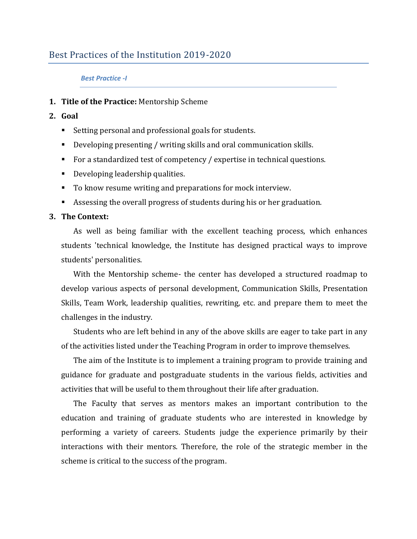# Best Practices of the Institution 2019-2020

#### *Best Practice -I*

## **1. Title of the Practice:** Mentorship Scheme

## **2. Goal**

- Setting personal and professional goals for students.
- Developing presenting / writing skills and oral communication skills.
- For a standardized test of competency / expertise in technical questions.
- **Developing leadership qualities.**
- To know resume writing and preparations for mock interview.
- Assessing the overall progress of students during his or her graduation.

#### **3. The Context:**

As well as being familiar with the excellent teaching process, which enhances students 'technical knowledge, the Institute has designed practical ways to improve students' personalities.

With the Mentorship scheme- the center has developed a structured roadmap to develop various aspects of personal development, Communication Skills, Presentation Skills, Team Work, leadership qualities, rewriting, etc. and prepare them to meet the challenges in the industry.

Students who are left behind in any of the above skills are eager to take part in any of the activities listed under the Teaching Program in order to improve themselves.

The aim of the Institute is to implement a training program to provide training and guidance for graduate and postgraduate students in the various fields, activities and activities that will be useful to them throughout their life after graduation.

The Faculty that serves as mentors makes an important contribution to the education and training of graduate students who are interested in knowledge by performing a variety of careers. Students judge the experience primarily by their interactions with their mentors. Therefore, the role of the strategic member in the scheme is critical to the success of the program.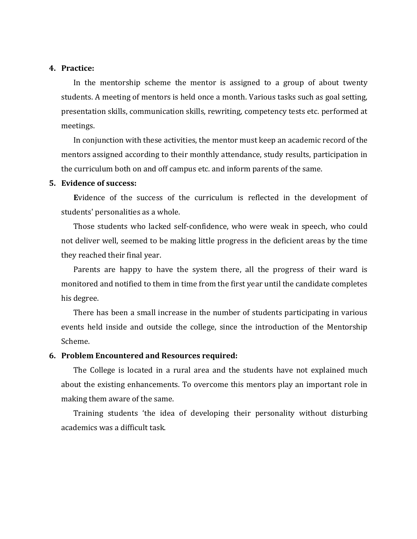#### **4. Practice:**

In the mentorship scheme the mentor is assigned to a group of about twenty students. A meeting of mentors is held once a month. Various tasks such as goal setting, presentation skills, communication skills, rewriting, competency tests etc. performed at meetings.

In conjunction with these activities, the mentor must keep an academic record of the mentors assigned according to their monthly attendance, study results, participation in the curriculum both on and off campus etc. and inform parents of the same.

#### **5. Evidence of success:**

**E**vidence of the success of the curriculum is reflected in the development of students' personalities as a whole.

Those students who lacked self-confidence, who were weak in speech, who could not deliver well, seemed to be making little progress in the deficient areas by the time they reached their final year.

Parents are happy to have the system there, all the progress of their ward is monitored and notified to them in time from the first year until the candidate completes his degree.

There has been a small increase in the number of students participating in various events held inside and outside the college, since the introduction of the Mentorship Scheme.

## **6. Problem Encountered and Resources required:**

The College is located in a rural area and the students have not explained much about the existing enhancements. To overcome this mentors play an important role in making them aware of the same.

Training students 'the idea of developing their personality without disturbing academics was a difficult task.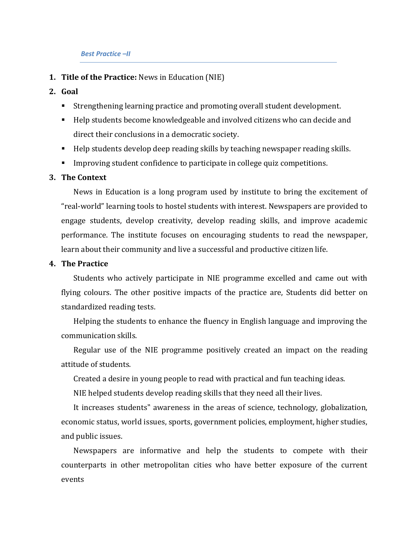#### *Best Practice –II*

- **1. Title of the Practice:** News in Education (NIE)
- **2. Goal** 
	- Strengthening learning practice and promoting overall student development.
	- Help students become knowledgeable and involved citizens who can decide and direct their conclusions in a democratic society.
	- Help students develop deep reading skills by teaching newspaper reading skills.
	- **IMPROP** Improving student confidence to participate in college quiz competitions.

## **3. The Context**

News in Education is a long program used by institute to bring the excitement of "real-world" learning tools to hostel students with interest. Newspapers are provided to engage students, develop creativity, develop reading skills, and improve academic performance. The institute focuses on encouraging students to read the newspaper, learn about their community and live a successful and productive citizen life.

### **4. The Practice**

Students who actively participate in NIE programme excelled and came out with flying colours. The other positive impacts of the practice are, Students did better on standardized reading tests.

Helping the students to enhance the fluency in English language and improving the communication skills.

Regular use of the NIE programme positively created an impact on the reading attitude of students.

Created a desire in young people to read with practical and fun teaching ideas.

NIE helped students develop reading skills that they need all their lives.

It increases students" awareness in the areas of science, technology, globalization, economic status, world issues, sports, government policies, employment, higher studies, and public issues.

Newspapers are informative and help the students to compete with their counterparts in other metropolitan cities who have better exposure of the current events